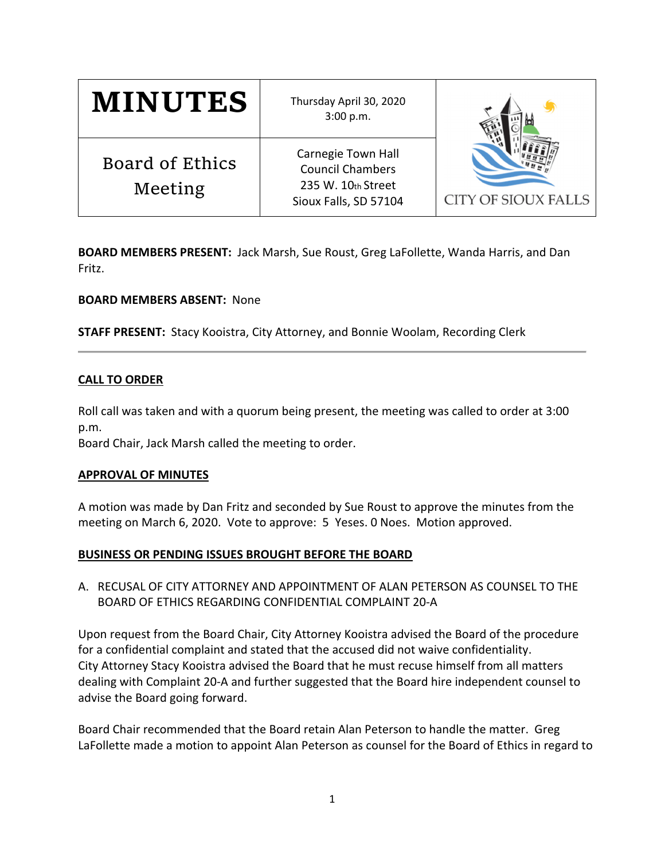| <b>MINUTES</b>                    | Thursday April 30, 2020<br>3:00 p.m.                                                                |                            |
|-----------------------------------|-----------------------------------------------------------------------------------------------------|----------------------------|
| <b>Board of Ethics</b><br>Meeting | <b>Carnegie Town Hall</b><br><b>Council Chambers</b><br>235 W. 10th Street<br>Sioux Falls, SD 57104 | <b>CITY OF SIOUX FALLS</b> |

**BOARD MEMBERS PRESENT:** Jack Marsh, Sue Roust, Greg LaFollette, Wanda Harris, and Dan Fritz.

### **BOARD MEMBERS ABSENT:** None

**STAFF PRESENT:** Stacy Kooistra, City Attorney, and Bonnie Woolam, Recording Clerk

#### **CALL TO ORDER**

Roll call was taken and with a quorum being present, the meeting was called to order at 3:00 p.m.

Board Chair, Jack Marsh called the meeting to order.

#### **APPROVAL OF MINUTES**

A motion was made by Dan Fritz and seconded by Sue Roust to approve the minutes from the meeting on March 6, 2020. Vote to approve: 5 Yeses. 0 Noes. Motion approved.

### **BUSINESS OR PENDING ISSUES BROUGHT BEFORE THE BOARD**

A. RECUSAL OF CITY ATTORNEY AND APPOINTMENT OF ALAN PETERSON AS COUNSEL TO THE BOARD OF ETHICS REGARDING CONFIDENTIAL COMPLAINT 20‐A

Upon request from the Board Chair, City Attorney Kooistra advised the Board of the procedure for a confidential complaint and stated that the accused did not waive confidentiality. City Attorney Stacy Kooistra advised the Board that he must recuse himself from all matters dealing with Complaint 20‐A and further suggested that the Board hire independent counsel to advise the Board going forward.

Board Chair recommended that the Board retain Alan Peterson to handle the matter. Greg LaFollette made a motion to appoint Alan Peterson as counsel for the Board of Ethics in regard to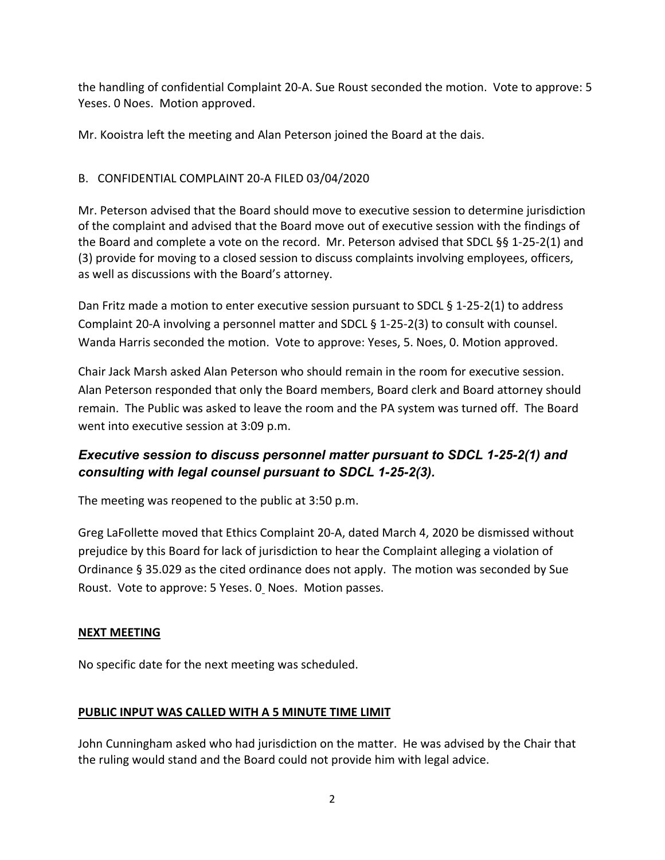the handling of confidential Complaint 20‐A. Sue Roust seconded the motion. Vote to approve: 5 Yeses. 0 Noes. Motion approved.

Mr. Kooistra left the meeting and Alan Peterson joined the Board at the dais.

### B. CONFIDENTIAL COMPLAINT 20‐A FILED 03/04/2020

Mr. Peterson advised that the Board should move to executive session to determine jurisdiction of the complaint and advised that the Board move out of executive session with the findings of the Board and complete a vote on the record. Mr. Peterson advised that SDCL §§ 1‐25‐2(1) and (3) provide for moving to a closed session to discuss complaints involving employees, officers, as well as discussions with the Board's attorney.

Dan Fritz made a motion to enter executive session pursuant to SDCL  $\S$  1-25-2(1) to address Complaint 20‐A involving a personnel matter and SDCL § 1‐25‐2(3) to consult with counsel. Wanda Harris seconded the motion. Vote to approve: Yeses, 5. Noes, 0. Motion approved.

Chair Jack Marsh asked Alan Peterson who should remain in the room for executive session. Alan Peterson responded that only the Board members, Board clerk and Board attorney should remain. The Public was asked to leave the room and the PA system was turned off. The Board went into executive session at 3:09 p.m.

# *Executive session to discuss personnel matter pursuant to SDCL 1-25-2(1) and consulting with legal counsel pursuant to SDCL 1-25-2(3).*

The meeting was reopened to the public at 3:50 p.m.

Greg LaFollette moved that Ethics Complaint 20‐A, dated March 4, 2020 be dismissed without prejudice by this Board for lack of jurisdiction to hear the Complaint alleging a violation of Ordinance § 35.029 as the cited ordinance does not apply. The motion was seconded by Sue Roust. Vote to approve: 5 Yeses. 0 Noes. Motion passes.

### **NEXT MEETING**

No specific date for the next meeting was scheduled.

## **PUBLIC INPUT WAS CALLED WITH A 5 MINUTE TIME LIMIT**

John Cunningham asked who had jurisdiction on the matter. He was advised by the Chair that the ruling would stand and the Board could not provide him with legal advice.